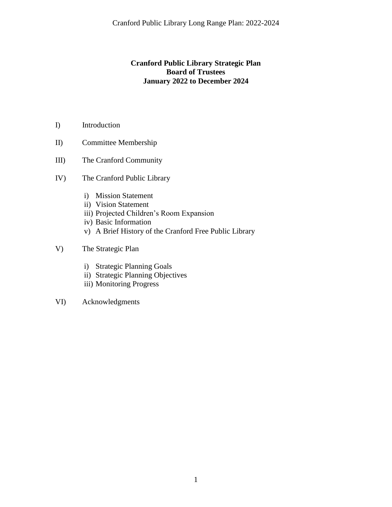### **Cranford Public Library Strategic Plan Board of Trustees January 2022 to December 2024**

- I) Introduction
- II) Committee Membership
- III) The Cranford Community
- IV) The Cranford Public Library
	- i) Mission Statement
	- ii) Vision Statement
	- iii) Projected Children's Room Expansion
	- iv) Basic Information
	- v) A Brief History of the Cranford Free Public Library
- V) The Strategic Plan
	- i) Strategic Planning Goals
	- ii) Strategic Planning Objectives
	- iii) Monitoring Progress
- VI) Acknowledgments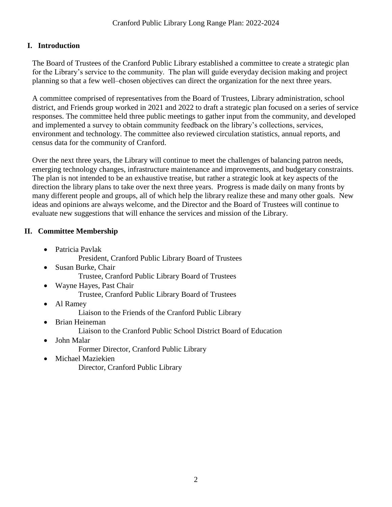# **I. Introduction**

The Board of Trustees of the Cranford Public Library established a committee to create a strategic plan for the Library's service to the community. The plan will guide everyday decision making and project planning so that a few well–chosen objectives can direct the organization for the next three years.

A committee comprised of representatives from the Board of Trustees, Library administration, school district, and Friends group worked in 2021 and 2022 to draft a strategic plan focused on a series of service responses. The committee held three public meetings to gather input from the community, and developed and implemented a survey to obtain community feedback on the library's collections, services, environment and technology. The committee also reviewed circulation statistics, annual reports, and census data for the community of Cranford.

Over the next three years, the Library will continue to meet the challenges of balancing patron needs, emerging technology changes, infrastructure maintenance and improvements, and budgetary constraints. The plan is not intended to be an exhaustive treatise, but rather a strategic look at key aspects of the direction the library plans to take over the next three years. Progress is made daily on many fronts by many different people and groups, all of which help the library realize these and many other goals. New ideas and opinions are always welcome, and the Director and the Board of Trustees will continue to evaluate new suggestions that will enhance the services and mission of the Library.

# **II. Committee Membership**

- Patricia Pavlak
	- President, Cranford Public Library Board of Trustees
- Susan Burke, Chair Trustee, Cranford Public Library Board of Trustees
- Wayne Hayes, Past Chair Trustee, Cranford Public Library Board of Trustees
- Al Ramey
	- Liaison to the Friends of the Cranford Public Library
- Brian Heineman Liaison to the Cranford Public School District Board of Education
- John Malar Former Director, Cranford Public Library
- Michael Maziekien Director, Cranford Public Library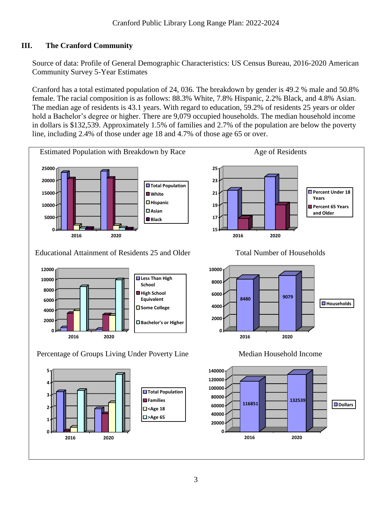## **III. The Cranford Community**

Source of data: Profile of General Demographic Characteristics: US Census Bureau, 2016-2020 American Community Survey 5-Year Estimates

Cranford has a total estimated population of 24, 036. The breakdown by gender is 49.2 % male and 50.8% female. The racial composition is as follows: 88.3% White, 7.8% Hispanic, 2.2% Black, and 4.8% Asian. The median age of residents is 43.1 years. With regard to education, 59.2% of residents 25 years or older hold a Bachelor's degree or higher. There are 9,079 occupied households. The median household income in dollars is \$132,539. Approximately 1.5% of families and 2.7% of the population are below the poverty line, including 2.4% of those under age 18 and 4.7% of those age 65 or over.

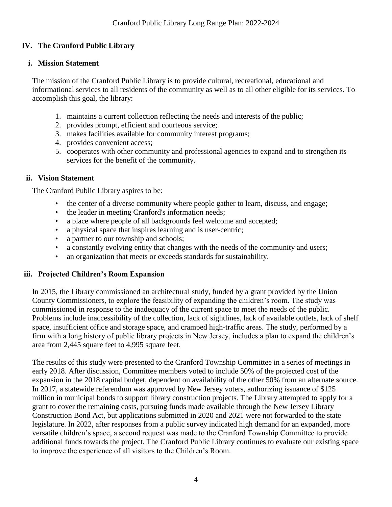# **IV. The Cranford Public Library**

## **i. Mission Statement**

The mission of the Cranford Public Library is to provide cultural, recreational, educational and informational services to all residents of the community as well as to all other eligible for its services. To accomplish this goal, the library:

- 1. maintains a current collection reflecting the needs and interests of the public;
- 2. provides prompt, efficient and courteous service;
- 3. makes facilities available for community interest programs;
- 4. provides convenient access;
- 5. cooperates with other community and professional agencies to expand and to strengthen its services for the benefit of the community.

## **ii. Vision Statement**

The Cranford Public Library aspires to be:

- the center of a diverse community where people gather to learn, discuss, and engage;
- the leader in meeting Cranford's information needs;
- a place where people of all backgrounds feel welcome and accepted;
- a physical space that inspires learning and is user-centric;
- a partner to our township and schools;
- a constantly evolving entity that changes with the needs of the community and users;
- an organization that meets or exceeds standards for sustainability.

## **iii. Projected Children's Room Expansion**

In 2015, the Library commissioned an architectural study, funded by a grant provided by the Union County Commissioners, to explore the feasibility of expanding the children's room. The study was commissioned in response to the inadequacy of the current space to meet the needs of the public. Problems include inaccessibility of the collection, lack of sightlines, lack of available outlets, lack of shelf space, insufficient office and storage space, and cramped high-traffic areas. The study, performed by a firm with a long history of public library projects in New Jersey, includes a plan to expand the children's area from 2,445 square feet to 4,995 square feet.

The results of this study were presented to the Cranford Township Committee in a series of meetings in early 2018. After discussion, Committee members voted to include 50% of the projected cost of the expansion in the 2018 capital budget, dependent on availability of the other 50% from an alternate source. In 2017, a statewide referendum was approved by New Jersey voters, authorizing issuance of \$125 million in municipal bonds to support library construction projects. The Library attempted to apply for a grant to cover the remaining costs, pursuing funds made available through the New Jersey Library Construction Bond Act, but applications submitted in 2020 and 2021 were not forwarded to the state legislature. In 2022, after responses from a public survey indicated high demand for an expanded, more versatile children's space, a second request was made to the Cranford Township Committee to provide additional funds towards the project. The Cranford Public Library continues to evaluate our existing space to improve the experience of all visitors to the Children's Room.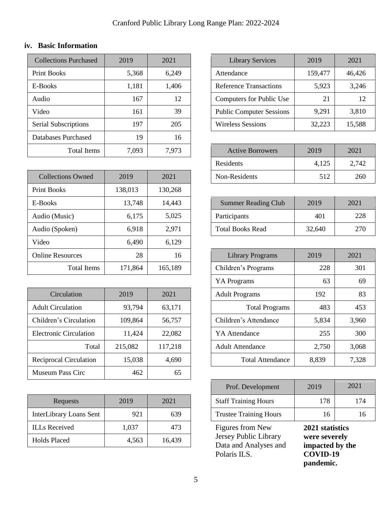# **iv. Basic Information**

| <b>Collections Purchased</b> | 2019  | 2021  | <b>Library Services</b>         | 2019    | 2021   |
|------------------------------|-------|-------|---------------------------------|---------|--------|
| <b>Print Books</b>           | 5,368 | 6,249 | Attendance                      | 159,477 | 46,426 |
| E-Books                      | 1,181 | 1,406 | <b>Reference Transactions</b>   | 5,923   | 3,246  |
| Audio                        | 167   | 12    | Computers for Public Use        | 21      | 12     |
| Video                        | 161   | 39    | <b>Public Computer Sessions</b> | 9,291   | 3,810  |
| Serial Subscriptions         | 197   | 205   | <b>Wireless Sessions</b>        | 32,223  | 15,588 |
| Databases Purchased          | 19    | 16    |                                 |         |        |
| Total Items                  | 7,093 | 7,973 | <b>Active Borrowers</b>         | 2019    | 2021   |

| Collections Owned       | 2019    | 2021    |
|-------------------------|---------|---------|
| <b>Print Books</b>      | 138,013 | 130,268 |
| E-Books                 | 13,748  | 14,443  |
| Audio (Music)           | 6,175   | 5,025   |
| Audio (Spoken)          | 6,918   | 2,971   |
| Video                   | 6,490   | 6,129   |
| <b>Online Resources</b> | 28      | 16      |
| Total Items             | 171,864 | 165,189 |
|                         |         |         |

| Circulation                   | 2019    | 2021    | <b>Adult Programs</b>   | 192   | 83    |
|-------------------------------|---------|---------|-------------------------|-------|-------|
| <b>Adult Circulation</b>      | 93,794  | 63,171  | <b>Total Programs</b>   | 483   | 453   |
| Children's Circulation        | 109,864 | 56,757  | Children's Attendance   | 5,834 | 3,960 |
| <b>Electronic Circulation</b> | 11,424  | 22,082  | YA Attendance           | 255   | 300   |
| Total                         | 215,082 | 117,218 | <b>Adult Attendance</b> | 2,750 | 3,068 |
| Reciprocal Circulation        | 15,038  | 4,690   | <b>Total Attendance</b> | 8,839 | 7,328 |
| <b>Museum Pass Circ</b>       | 462     | 65      |                         |       |       |

| Requests                       | 2019  | 2021   | <b>Staff Training Hours</b>                    | 178                                                 | 174 |
|--------------------------------|-------|--------|------------------------------------------------|-----------------------------------------------------|-----|
| <b>InterLibrary Loans Sent</b> | 921   | 639    | <b>Trustee Training Hours</b>                  | 16                                                  | 16  |
| <b>ILLs</b> Received           | 1,037 | 473    | Figures from New                               | 2021 statistics<br>were severely<br>impacted by the |     |
| <b>Holds Placed</b>            | 4,563 | 16,439 | Jersey Public Library<br>Data and Analyses and |                                                     |     |

| <b>Library Services</b>         | 2019    | 2021   |
|---------------------------------|---------|--------|
| Attendance                      | 159,477 | 46,426 |
| <b>Reference Transactions</b>   | 5,923   | 3,246  |
| Computers for Public Use        | 21      | 12.    |
| <b>Public Computer Sessions</b> | 9,291   | 3,810  |
| <b>Wireless Sessions</b>        | 32,223  | 15,588 |

| Total Items              | 7,093 | 7,973 | <b>Active Borrowers</b> | 2019  | 2021  |
|--------------------------|-------|-------|-------------------------|-------|-------|
|                          |       |       | Residents               | 4,125 | 2,742 |
| <b>Collections Owned</b> | 2019  | 2021  | Non-Residents           | 512   | 260   |

| <b>Summer Reading Club</b> | 2019   | 2021 |
|----------------------------|--------|------|
| Participants               | 401    | 228  |
| <b>Total Books Read</b>    | 32,640 | 270  |

| <b>Resources</b>   | 28      | 16      | <b>Library Programs</b> | 2019  | 2021  |
|--------------------|---------|---------|-------------------------|-------|-------|
| <b>Total Items</b> | 171,864 | 165,189 | Children's Programs     | 228   | 301   |
|                    |         |         | YA Programs             | 63    | 69    |
| Circulation        | 2019    | 2021    | <b>Adult Programs</b>   | 192   | 83    |
| Circulation        | 93,794  | 63,171  | <b>Total Programs</b>   | 483   | 453   |
| en's Circulation   | 109,864 | 56,757  | Children's Attendance   | 5,834 | 3,960 |
| onic Circulation   | 11,424  | 22,082  | YA Attendance           | 255   | 300   |
| Total              | 215,082 | 117,218 | <b>Adult Attendance</b> | 2,750 | 3,068 |
| ocal Circulation   | 15,038  | 4,690   | <b>Total Attendance</b> | 8,839 | 7,328 |
|                    |         |         |                         |       |       |

|                  |       |        | Prof. Development                              | 2019 | 2021                             |  |  |
|------------------|-------|--------|------------------------------------------------|------|----------------------------------|--|--|
| Requests         | 2019  | 2021   | <b>Staff Training Hours</b>                    | 178  | 174                              |  |  |
| prary Loans Sent | 921   | 639    | <b>Trustee Training Hours</b>                  | 16   | 16                               |  |  |
| eceived          | 1,037 | 473    | Figures from New                               |      | 2021 statistics                  |  |  |
| Placed           | 4,563 | 16,439 | Jersey Public Library<br>Data and Analyses and |      | were severely<br>impacted by the |  |  |
|                  |       |        | Polaris ILS.                                   |      | COVID-19<br>pandemic.            |  |  |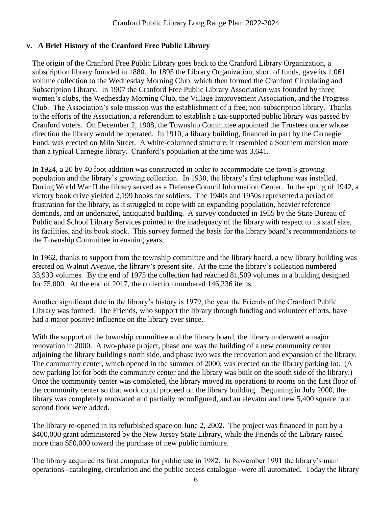## **v. A Brief History of the Cranford Free Public Library**

The origin of the Cranford Free Public Library goes back to the Cranford Library Organization, a subscription library founded in 1880. In 1895 the Library Organization, short of funds, gave its 1,061 volume collection to the Wednesday Morning Club, which then formed the Cranford Circulating and Subscription Library. In 1907 the Cranford Free Public Library Association was founded by three women's clubs, the Wednesday Morning Club, the Village Improvement Association, and the Progress Club. The Association's sole mission was the establishment of a free, non-subscription library. Thanks to the efforts of the Association, a referendum to establish a tax-supported public library was passed by Cranford voters. On December 2, 1908, the Township Committee appointed the Trustees under whose direction the library would be operated. In 1910, a library building, financed in part by the Carnegie Fund, was erected on Miln Street. A white-columned structure, it resembled a Southern mansion more than a typical Carnegie library. Cranford's population at the time was 3,641.

In 1924, a 20 by 40 foot addition was constructed in order to accommodate the town's growing population and the library's growing collection. In 1930, the library's first telephone was installed. During World War II the library served as a Defense Council Information Center. In the spring of 1942, a victory book drive yielded 2,199 books for soldiers. The 1940s and 1950s represented a period of frustration for the library, as it struggled to cope with an expanding population, heavier reference demands, and an undersized, antiquated building. A survey conducted in 1955 by the State Bureau of Public and School Library Services pointed to the inadequacy of the library with respect to its staff size, its facilities, and its book stock. This survey formed the basis for the library board's recommendations to the Township Committee in ensuing years.

In 1962, thanks to support from the township committee and the library board, a new library building was erected on Walnut Avenue, the library's present site. At the time the library's collection numbered 33,933 volumes. By the end of 1975 the collection had reached 81,509 volumes in a building designed for 75,000. At the end of 2017, the collection numbered 146,236 items.

Another significant date in the library's history is 1979, the year the Friends of the Cranford Public Library was formed. The Friends, who support the library through funding and volunteer efforts, have had a major positive influence on the library ever since.

With the support of the township committee and the library board, the library underwent a major renovation in 2000. A two-phase project, phase one was the building of a new community center adjoining the library building's north side, and phase two was the renovation and expansion of the library. The community center, which opened in the summer of 2000, was erected on the library parking lot. (A new parking lot for both the community center and the library was built on the south side of the library.) Once the community center was completed, the library moved its operations to rooms on the first floor of the community center so that work could proceed on the library building. Beginning in July 2000, the library was completely renovated and partially reconfigured, and an elevator and new 5,400 square foot second floor were added.

The library re-opened in its refurbished space on June 2, 2002. The project was financed in part by a \$400,000 grant administered by the New Jersey State Library, while the Friends of the Library raised more than \$50,000 toward the purchase of new public furniture.

The library acquired its first computer for public use in 1982. In November 1991 the library's main operations--cataloging, circulation and the public access catalogue--were all automated. Today the library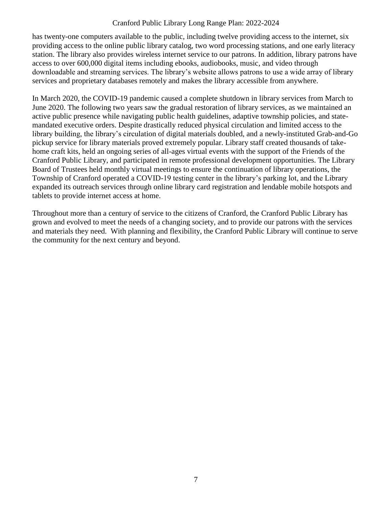## Cranford Public Library Long Range Plan: 2022-2024

has twenty-one computers available to the public, including twelve providing access to the internet, six providing access to the online public library catalog, two word processing stations, and one early literacy station. The library also provides wireless internet service to our patrons. In addition, library patrons have access to over 600,000 digital items including ebooks, audiobooks, music, and video through downloadable and streaming services. The library's website allows patrons to use a wide array of library services and proprietary databases remotely and makes the library accessible from anywhere.

In March 2020, the COVID-19 pandemic caused a complete shutdown in library services from March to June 2020. The following two years saw the gradual restoration of library services, as we maintained an active public presence while navigating public health guidelines, adaptive township policies, and statemandated executive orders. Despite drastically reduced physical circulation and limited access to the library building, the library's circulation of digital materials doubled, and a newly-instituted Grab-and-Go pickup service for library materials proved extremely popular. Library staff created thousands of takehome craft kits, held an ongoing series of all-ages virtual events with the support of the Friends of the Cranford Public Library, and participated in remote professional development opportunities. The Library Board of Trustees held monthly virtual meetings to ensure the continuation of library operations, the Township of Cranford operated a COVID-19 testing center in the library's parking lot, and the Library expanded its outreach services through online library card registration and lendable mobile hotspots and tablets to provide internet access at home.

Throughout more than a century of service to the citizens of Cranford, the Cranford Public Library has grown and evolved to meet the needs of a changing society, and to provide our patrons with the services and materials they need. With planning and flexibility, the Cranford Public Library will continue to serve the community for the next century and beyond.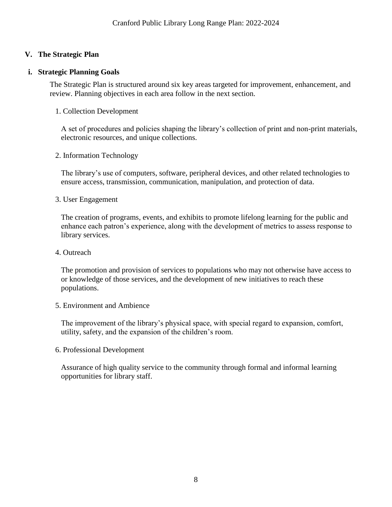## **V. The Strategic Plan**

### **i. Strategic Planning Goals**

The Strategic Plan is structured around six key areas targeted for improvement, enhancement, and review. Planning objectives in each area follow in the next section.

### 1. Collection Development

A set of procedures and policies shaping the library's collection of print and non-print materials, electronic resources, and unique collections.

#### 2. Information Technology

The library's use of computers, software, peripheral devices, and other related technologies to ensure access, transmission, communication, manipulation, and protection of data.

#### 3. User Engagement

The creation of programs, events, and exhibits to promote lifelong learning for the public and enhance each patron's experience, along with the development of metrics to assess response to library services.

#### 4. Outreach

The promotion and provision of services to populations who may not otherwise have access to or knowledge of those services, and the development of new initiatives to reach these populations.

#### 5. Environment and Ambience

The improvement of the library's physical space, with special regard to expansion, comfort, utility, safety, and the expansion of the children's room.

#### 6. Professional Development

Assurance of high quality service to the community through formal and informal learning opportunities for library staff.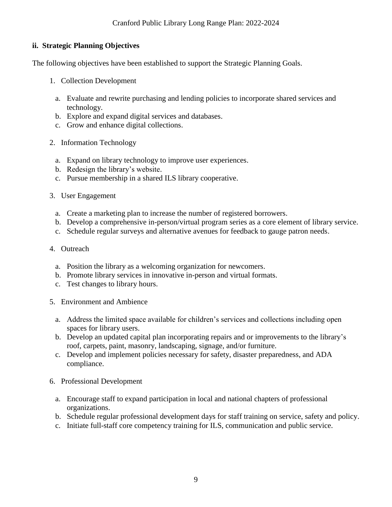## **ii. Strategic Planning Objectives**

The following objectives have been established to support the Strategic Planning Goals.

- 1. Collection Development
	- a. Evaluate and rewrite purchasing and lending policies to incorporate shared services and technology.
	- b. Explore and expand digital services and databases.
	- c. Grow and enhance digital collections.
- 2. Information Technology
	- a. Expand on library technology to improve user experiences.
	- b. Redesign the library's website.
	- c. Pursue membership in a shared ILS library cooperative.
- 3. User Engagement
	- a. Create a marketing plan to increase the number of registered borrowers.
	- b. Develop a comprehensive in-person/virtual program series as a core element of library service.
	- c. Schedule regular surveys and alternative avenues for feedback to gauge patron needs.
- 4. Outreach
	- a. Position the library as a welcoming organization for newcomers.
	- b. Promote library services in innovative in-person and virtual formats.
	- c. Test changes to library hours.
- 5. Environment and Ambience
	- a. Address the limited space available for children's services and collections including open spaces for library users.
	- b. Develop an updated capital plan incorporating repairs and or improvements to the library's roof, carpets, paint, masonry, landscaping, signage, and/or furniture.
	- c. Develop and implement policies necessary for safety, disaster preparedness, and ADA compliance.
- 6. Professional Development
	- a. Encourage staff to expand participation in local and national chapters of professional organizations.
	- b. Schedule regular professional development days for staff training on service, safety and policy.
	- c. Initiate full-staff core competency training for ILS, communication and public service.